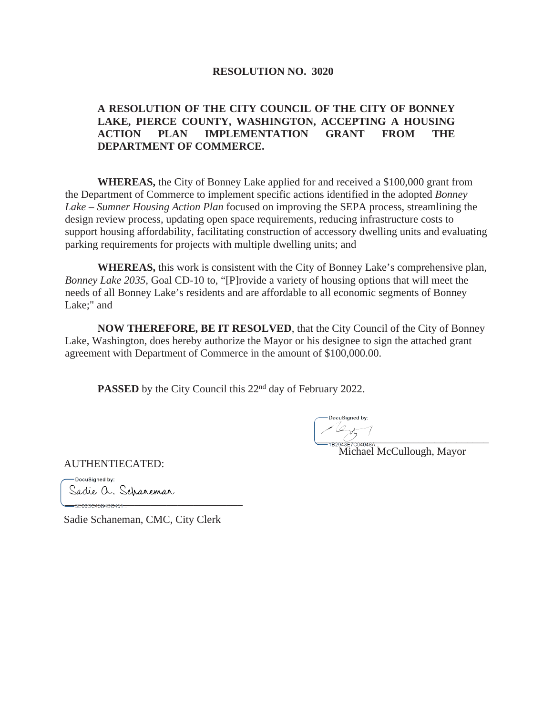# **RESOLUTION NO. 3020**

# **A RESOLUTION OF THE CITY COUNCIL OF THE CITY OF BONNEY LAKE, PIERCE COUNTY, WASHINGTON, ACCEPTING A HOUSING ACTION PLAN IMPLEMENTATION GRANT FROM THE DEPARTMENT OF COMMERCE.**

**WHEREAS,** the City of Bonney Lake applied for and received a \$100,000 grant from the Department of Commerce to implement specific actions identified in the adopted *Bonney Lake – Sumner Housing Action Plan* focused on improving the SEPA process, streamlining the design review process, updating open space requirements, reducing infrastructure costs to support housing affordability, facilitating construction of accessory dwelling units and evaluating parking requirements for projects with multiple dwelling units; and

**WHEREAS,** this work is consistent with the City of Bonney Lake's comprehensive plan, *Bonney Lake 2035,* Goal CD-10 to, "[P]rovide a variety of housing options that will meet the needs of all Bonney Lake's residents and are affordable to all economic segments of Bonney Lake;" and

**NOW THEREFORE, BE IT RESOLVED**, that the City Council of the City of Bonney Lake, Washington, does hereby authorize the Mayor or his designee to sign the attached grant agreement with Department of Commerce in the amount of \$100,000.00.

**PASSED** by the City Council this 22<sup>nd</sup> day of February 2022.

DocuSianed by:  $\overbrace{ }^{+}$ 

Michael McCullough, Mayor

AUTHENTIECATED:

-DocuSianed by: Sadie a. Schaneman

\_\_\_\_\_\_\_\_\_\_\_\_\_\_\_\_\_\_\_\_\_\_\_\_\_\_\_\_\_\_\_\_\_

Sadie Schaneman, CMC, City Clerk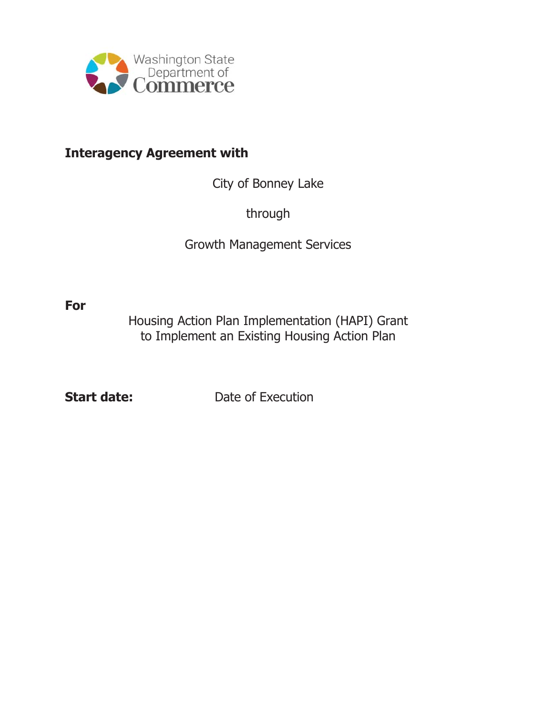

# **Interagency Agreement with**

City of Bonney Lake

through

Growth Management Services

**For** 

Housing Action Plan Implementation (HAPI) Grant to Implement an Existing Housing Action Plan

**Start date:** Date of Execution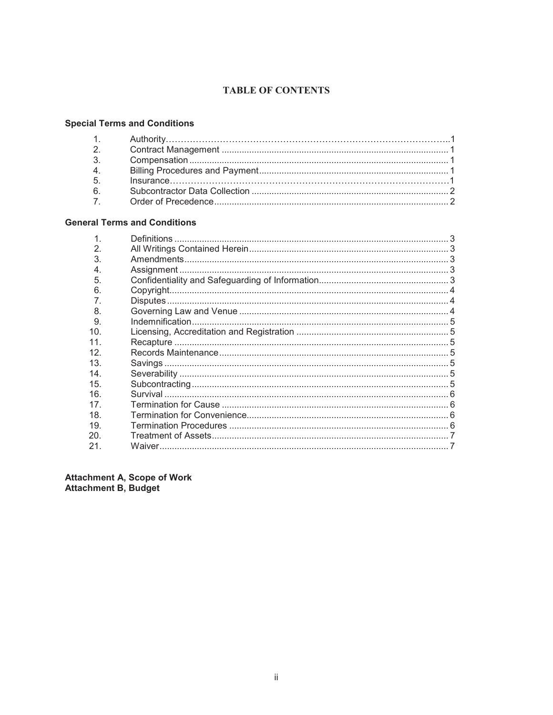# **TABLE OF CONTENTS**

# **Special Terms and Conditions**

| 2 <sub>1</sub> |  |
|----------------|--|
| $\mathcal{R}$  |  |
| 4.             |  |
| 5 <sup>5</sup> |  |
| $6 \square$    |  |
| 7.             |  |

# **General Terms and Conditions**

Attachment A, Scope of Work<br>Attachment B, Budget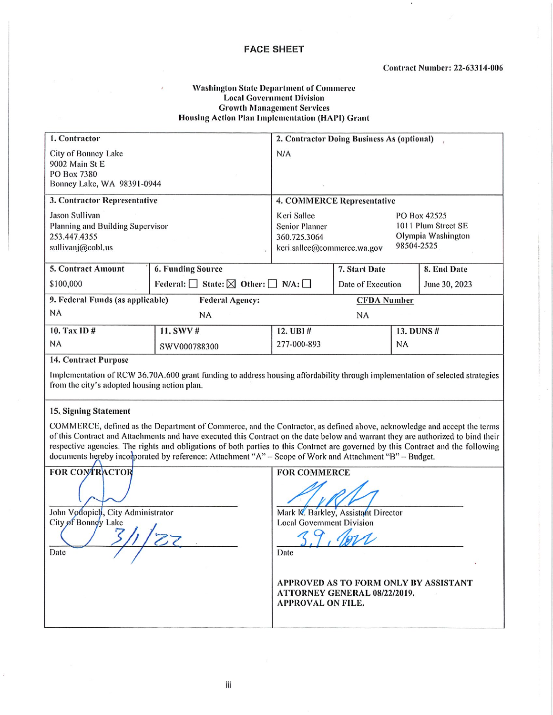#### **FACE SHEET**

#### **Washington State Department of Commerce Local Government Division Growth Management Services Housing Action Plan Implementation (HAPI) Grant**

| 1. Contractor                                                                           |                                                       | 2. Contractor Doing Business As (optional)           |                                                                                                        |            |               |
|-----------------------------------------------------------------------------------------|-------------------------------------------------------|------------------------------------------------------|--------------------------------------------------------------------------------------------------------|------------|---------------|
| City of Bonney Lake<br>9002 Main St E<br>PO Box 7380<br>Bonney Lake, WA 98391-0944      |                                                       | N/A                                                  |                                                                                                        |            |               |
| 3. Contractor Representative                                                            | 4. COMMERCE Representative                            |                                                      |                                                                                                        |            |               |
| Jason Sullivan<br>Planning and Building Supervisor<br>253.447.4355<br>sullivanj@cobl.us |                                                       | Keri Sallee<br><b>Senior Planner</b><br>360.725.3064 | PO Box 42525<br>1011 Plum Street SE<br>Olympia Washington<br>98504-2525<br>keri.sallee@commerce.wa.gov |            |               |
| 6. Funding Source<br><b>5. Contract Amount</b>                                          |                                                       |                                                      | 7. Start Date                                                                                          |            | 8. End Date   |
| \$100,000                                                                               | Federal: State: $\boxtimes$ Other: $\Box$ N/A: $\Box$ |                                                      | Date of Execution                                                                                      |            | June 30, 2023 |
| 9. Federal Funds (as applicable)                                                        | <b>Federal Agency:</b>                                | <b>CFDA Number</b>                                   |                                                                                                        |            |               |
| NA                                                                                      | NA                                                    |                                                      | NA                                                                                                     |            |               |
| 10. Tax ID #                                                                            | 11. SWV #                                             | 12. UBI $#$                                          |                                                                                                        | 13. DUNS # |               |
| NA.                                                                                     | SWV000788300                                          | 277-000-893                                          |                                                                                                        | NA         |               |

#### **14. Contract Purpose**

Implementation of RCW 36.70A.600 grant funding to address housing affordability through implementation of selected strategies from the city's adopted housing action plan.

#### 15. Signing Statement

COMMERCE, defined as the Department of Commerce, and the Contractor, as defined above, acknowledge and accept the terms of this Contract and Attachments and have executed this Contract on the date below and warrant they are authorized to bind their respective agencies. The rights and obligations of both parties to this Contract are governed by this Contract and the following documents hereby incomporated by reference: Attachment "A" - Scope of Work and Attachment "B" - Budget.

**FOR CONTRACTOR FOR COMMERCE** Mark K. Barkley, Assistant Director John Vodopich, City Administrator City of Bonnoy Lake **Local Government Division** Date Date APPROVED AS TO FORM ONLY BY ASSISTANT ATTORNEY GENERAL 08/22/2019. **APPROVAL ON FILE.**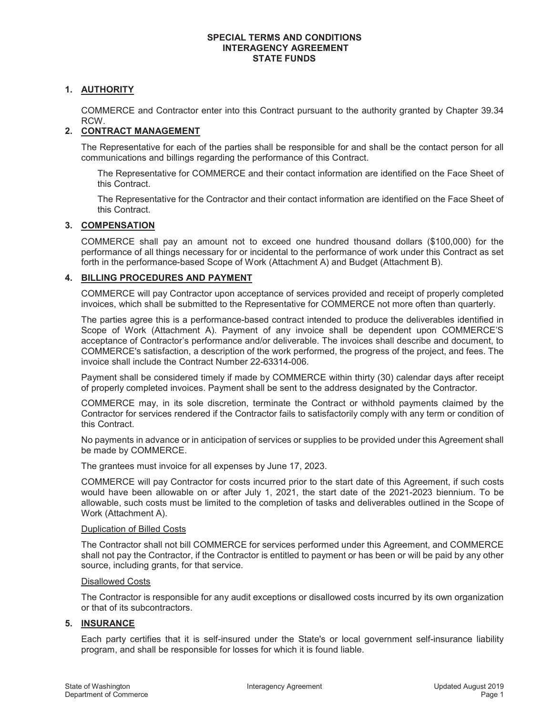# **1. AUTHORITY**

COMMERCE and Contractor enter into this Contract pursuant to the authority granted by Chapter 39.34 RCW.

# **2. CONTRACT MANAGEMENT**

The Representative for each of the parties shall be responsible for and shall be the contact person for all communications and billings regarding the performance of this Contract.

The Representative for COMMERCE and their contact information are identified on the Face Sheet of this Contract.

The Representative for the Contractor and their contact information are identified on the Face Sheet of this Contract.

#### **3. COMPENSATION**

COMMERCE shall pay an amount not to exceed one hundred thousand dollars (\$100,000) for the performance of all things necessary for or incidental to the performance of work under this Contract as set forth in the performance-based Scope of Work (Attachment A) and Budget (Attachment B).

# **4. BILLING PROCEDURES AND PAYMENT**

COMMERCE will pay Contractor upon acceptance of services provided and receipt of properly completed invoices, which shall be submitted to the Representative for COMMERCE not more often than quarterly.

The parties agree this is a performance-based contract intended to produce the deliverables identified in Scope of Work (Attachment A). Payment of any invoice shall be dependent upon COMMERCE'S acceptance of Contractor's performance and/or deliverable. The invoices shall describe and document, to COMMERCE's satisfaction, a description of the work performed, the progress of the project, and fees. The invoice shall include the Contract Number 22-63314-006.

Payment shall be considered timely if made by COMMERCE within thirty (30) calendar days after receipt of properly completed invoices. Payment shall be sent to the address designated by the Contractor.

COMMERCE may, in its sole discretion, terminate the Contract or withhold payments claimed by the Contractor for services rendered if the Contractor fails to satisfactorily comply with any term or condition of this Contract.

No payments in advance or in anticipation of services or supplies to be provided under this Agreement shall be made by COMMERCE.

The grantees must invoice for all expenses by June 17, 2023.

COMMERCE will pay Contractor for costs incurred prior to the start date of this Agreement, if such costs would have been allowable on or after July 1, 2021, the start date of the 2021-2023 biennium. To be allowable, such costs must be limited to the completion of tasks and deliverables outlined in the Scope of Work (Attachment A).

#### Duplication of Billed Costs

The Contractor shall not bill COMMERCE for services performed under this Agreement, and COMMERCE shall not pay the Contractor, if the Contractor is entitled to payment or has been or will be paid by any other source, including grants, for that service.

#### Disallowed Costs

The Contractor is responsible for any audit exceptions or disallowed costs incurred by its own organization or that of its subcontractors.

#### **5. INSURANCE**

Each party certifies that it is self-insured under the State's or local government self-insurance liability program, and shall be responsible for losses for which it is found liable.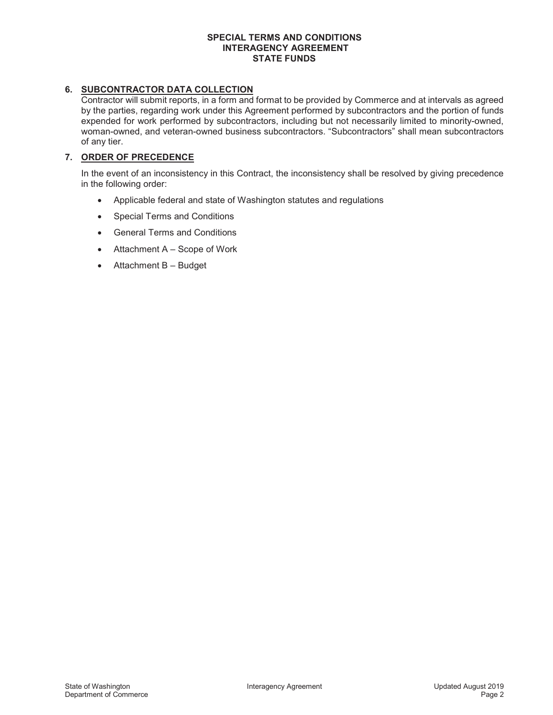# **6. SUBCONTRACTOR DATA COLLECTION**

Contractor will submit reports, in a form and format to be provided by Commerce and at intervals as agreed by the parties, regarding work under this Agreement performed by subcontractors and the portion of funds expended for work performed by subcontractors, including but not necessarily limited to minority-owned, woman-owned, and veteran-owned business subcontractors. "Subcontractors" shall mean subcontractors of any tier.

# **7. ORDER OF PRECEDENCE**

In the event of an inconsistency in this Contract, the inconsistency shall be resolved by giving precedence in the following order:

- Applicable federal and state of Washington statutes and regulations
- Special Terms and Conditions
- General Terms and Conditions
- $\bullet$  Attachment A Scope of Work
- $\bullet$  Attachment B Budget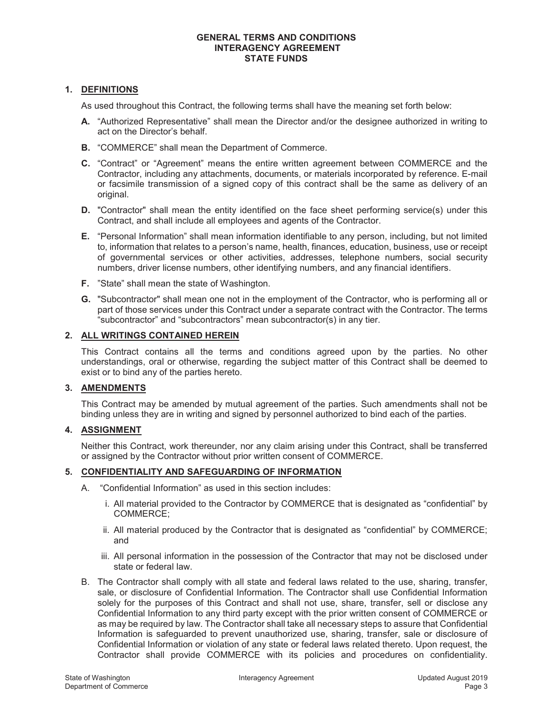# **1. DEFINITIONS**

As used throughout this Contract, the following terms shall have the meaning set forth below:

- **A.** "Authorized Representative" shall mean the Director and/or the designee authorized in writing to act on the Director's behalf.
- **B.** "COMMERCE" shall mean the Department of Commerce.
- **C.** "Contract" or "Agreement" means the entire written agreement between COMMERCE and the Contractor, including any attachments, documents, or materials incorporated by reference. E-mail or facsimile transmission of a signed copy of this contract shall be the same as delivery of an original.
- **D.** "Contractor" shall mean the entity identified on the face sheet performing service(s) under this Contract, and shall include all employees and agents of the Contractor.
- **E.** "Personal Information" shall mean information identifiable to any person, including, but not limited to, information that relates to a person's name, health, finances, education, business, use or receipt of governmental services or other activities, addresses, telephone numbers, social security numbers, driver license numbers, other identifying numbers, and any financial identifiers.
- **F.** "State" shall mean the state of Washington.
- **G.** "Subcontractor" shall mean one not in the employment of the Contractor, who is performing all or part of those services under this Contract under a separate contract with the Contractor. The terms "subcontractor" and "subcontractors" mean subcontractor(s) in any tier.

#### **2. ALL WRITINGS CONTAINED HEREIN**

This Contract contains all the terms and conditions agreed upon by the parties. No other understandings, oral or otherwise, regarding the subject matter of this Contract shall be deemed to exist or to bind any of the parties hereto.

#### **3. AMENDMENTS**

This Contract may be amended by mutual agreement of the parties. Such amendments shall not be binding unless they are in writing and signed by personnel authorized to bind each of the parties.

#### **4. ASSIGNMENT**

Neither this Contract, work thereunder, nor any claim arising under this Contract, shall be transferred or assigned by the Contractor without prior written consent of COMMERCE.

#### **5. CONFIDENTIALITY AND SAFEGUARDING OF INFORMATION**

- A. "Confidential Information" as used in this section includes:
	- i. All material provided to the Contractor by COMMERCE that is designated as "confidential" by COMMERCE;
	- ii. All material produced by the Contractor that is designated as "confidential" by COMMERCE; and
	- iii. All personal information in the possession of the Contractor that may not be disclosed under state or federal law.
- B. The Contractor shall comply with all state and federal laws related to the use, sharing, transfer, sale, or disclosure of Confidential Information. The Contractor shall use Confidential Information solely for the purposes of this Contract and shall not use, share, transfer, sell or disclose any Confidential Information to any third party except with the prior written consent of COMMERCE or as may be required by law. The Contractor shall take all necessary steps to assure that Confidential Information is safeguarded to prevent unauthorized use, sharing, transfer, sale or disclosure of Confidential Information or violation of any state or federal laws related thereto. Upon request, the Contractor shall provide COMMERCE with its policies and procedures on confidentiality.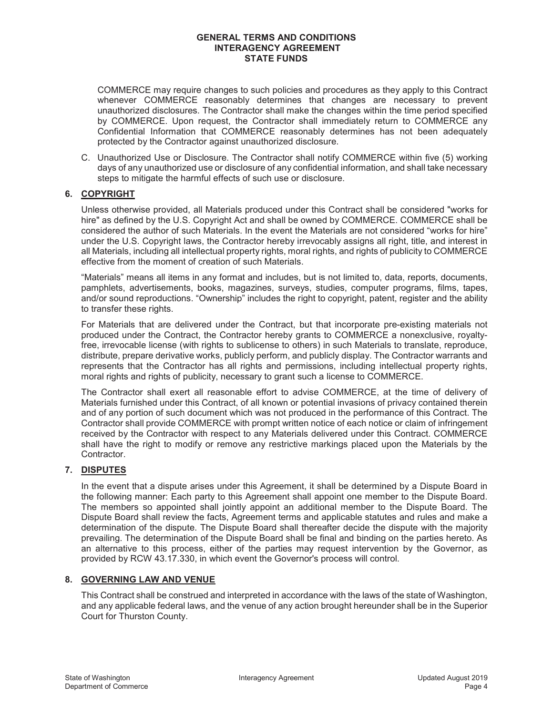COMMERCE may require changes to such policies and procedures as they apply to this Contract whenever COMMERCE reasonably determines that changes are necessary to prevent unauthorized disclosures. The Contractor shall make the changes within the time period specified by COMMERCE. Upon request, the Contractor shall immediately return to COMMERCE any Confidential Information that COMMERCE reasonably determines has not been adequately protected by the Contractor against unauthorized disclosure.

C. Unauthorized Use or Disclosure. The Contractor shall notify COMMERCE within five (5) working days of any unauthorized use or disclosure of any confidential information, and shall take necessary steps to mitigate the harmful effects of such use or disclosure.

# **6. COPYRIGHT**

Unless otherwise provided, all Materials produced under this Contract shall be considered "works for hire" as defined by the U.S. Copyright Act and shall be owned by COMMERCE. COMMERCE shall be considered the author of such Materials. In the event the Materials are not considered "works for hire" under the U.S. Copyright laws, the Contractor hereby irrevocably assigns all right, title, and interest in all Materials, including all intellectual property rights, moral rights, and rights of publicity to COMMERCE effective from the moment of creation of such Materials.

"Materials" means all items in any format and includes, but is not limited to, data, reports, documents, pamphlets, advertisements, books, magazines, surveys, studies, computer programs, films, tapes, and/or sound reproductions. "Ownership" includes the right to copyright, patent, register and the ability to transfer these rights.

For Materials that are delivered under the Contract, but that incorporate pre-existing materials not produced under the Contract, the Contractor hereby grants to COMMERCE a nonexclusive, royaltyfree, irrevocable license (with rights to sublicense to others) in such Materials to translate, reproduce, distribute, prepare derivative works, publicly perform, and publicly display. The Contractor warrants and represents that the Contractor has all rights and permissions, including intellectual property rights, moral rights and rights of publicity, necessary to grant such a license to COMMERCE.

The Contractor shall exert all reasonable effort to advise COMMERCE, at the time of delivery of Materials furnished under this Contract, of all known or potential invasions of privacy contained therein and of any portion of such document which was not produced in the performance of this Contract. The Contractor shall provide COMMERCE with prompt written notice of each notice or claim of infringement received by the Contractor with respect to any Materials delivered under this Contract. COMMERCE shall have the right to modify or remove any restrictive markings placed upon the Materials by the Contractor.

#### **7. DISPUTES**

In the event that a dispute arises under this Agreement, it shall be determined by a Dispute Board in the following manner: Each party to this Agreement shall appoint one member to the Dispute Board. The members so appointed shall jointly appoint an additional member to the Dispute Board. The Dispute Board shall review the facts, Agreement terms and applicable statutes and rules and make a determination of the dispute. The Dispute Board shall thereafter decide the dispute with the majority prevailing. The determination of the Dispute Board shall be final and binding on the parties hereto. As an alternative to this process, either of the parties may request intervention by the Governor, as provided by RCW 43.17.330, in which event the Governor's process will control.

#### **8. GOVERNING LAW AND VENUE**

This Contract shall be construed and interpreted in accordance with the laws of the state of Washington, and any applicable federal laws, and the venue of any action brought hereunder shall be in the Superior Court for Thurston County.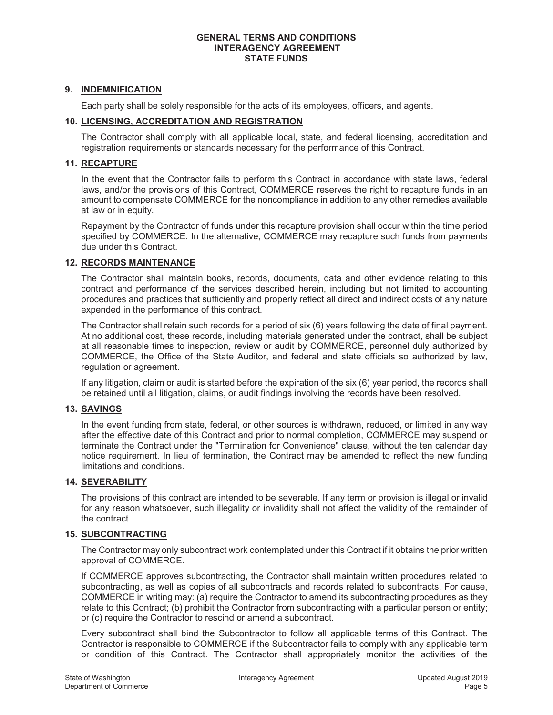# **9. INDEMNIFICATION**

Each party shall be solely responsible for the acts of its employees, officers, and agents.

# **10. LICENSING, ACCREDITATION AND REGISTRATION**

The Contractor shall comply with all applicable local, state, and federal licensing, accreditation and registration requirements or standards necessary for the performance of this Contract.

# **11. RECAPTURE**

In the event that the Contractor fails to perform this Contract in accordance with state laws, federal laws, and/or the provisions of this Contract, COMMERCE reserves the right to recapture funds in an amount to compensate COMMERCE for the noncompliance in addition to any other remedies available at law or in equity.

Repayment by the Contractor of funds under this recapture provision shall occur within the time period specified by COMMERCE. In the alternative, COMMERCE may recapture such funds from payments due under this Contract.

#### **12. RECORDS MAINTENANCE**

The Contractor shall maintain books, records, documents, data and other evidence relating to this contract and performance of the services described herein, including but not limited to accounting procedures and practices that sufficiently and properly reflect all direct and indirect costs of any nature expended in the performance of this contract.

The Contractor shall retain such records for a period of six (6) years following the date of final payment. At no additional cost, these records, including materials generated under the contract, shall be subject at all reasonable times to inspection, review or audit by COMMERCE, personnel duly authorized by COMMERCE, the Office of the State Auditor, and federal and state officials so authorized by law, regulation or agreement.

If any litigation, claim or audit is started before the expiration of the six (6) year period, the records shall be retained until all litigation, claims, or audit findings involving the records have been resolved.

#### **13. SAVINGS**

In the event funding from state, federal, or other sources is withdrawn, reduced, or limited in any way after the effective date of this Contract and prior to normal completion, COMMERCE may suspend or terminate the Contract under the "Termination for Convenience" clause, without the ten calendar day notice requirement. In lieu of termination, the Contract may be amended to reflect the new funding limitations and conditions.

#### **14. SEVERABILITY**

The provisions of this contract are intended to be severable. If any term or provision is illegal or invalid for any reason whatsoever, such illegality or invalidity shall not affect the validity of the remainder of the contract.

#### **15. SUBCONTRACTING**

The Contractor may only subcontract work contemplated under this Contract if it obtains the prior written approval of COMMERCE.

If COMMERCE approves subcontracting, the Contractor shall maintain written procedures related to subcontracting, as well as copies of all subcontracts and records related to subcontracts. For cause, COMMERCE in writing may: (a) require the Contractor to amend its subcontracting procedures as they relate to this Contract; (b) prohibit the Contractor from subcontracting with a particular person or entity; or (c) require the Contractor to rescind or amend a subcontract.

Every subcontract shall bind the Subcontractor to follow all applicable terms of this Contract. The Contractor is responsible to COMMERCE if the Subcontractor fails to comply with any applicable term or condition of this Contract. The Contractor shall appropriately monitor the activities of the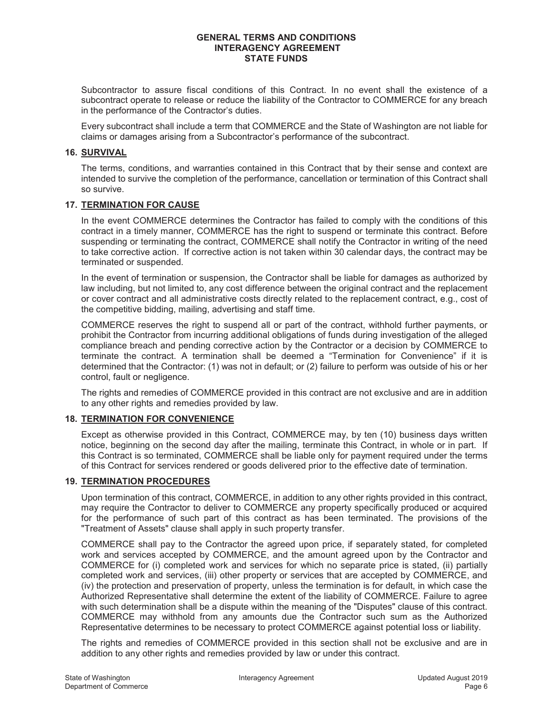Subcontractor to assure fiscal conditions of this Contract. In no event shall the existence of a subcontract operate to release or reduce the liability of the Contractor to COMMERCE for any breach in the performance of the Contractor's duties.

Every subcontract shall include a term that COMMERCE and the State of Washington are not liable for claims or damages arising from a Subcontractor's performance of the subcontract.

#### **16. SURVIVAL**

The terms, conditions, and warranties contained in this Contract that by their sense and context are intended to survive the completion of the performance, cancellation or termination of this Contract shall so survive.

# **17. TERMINATION FOR CAUSE**

In the event COMMERCE determines the Contractor has failed to comply with the conditions of this contract in a timely manner, COMMERCE has the right to suspend or terminate this contract. Before suspending or terminating the contract, COMMERCE shall notify the Contractor in writing of the need to take corrective action. If corrective action is not taken within 30 calendar days, the contract may be terminated or suspended.

In the event of termination or suspension, the Contractor shall be liable for damages as authorized by law including, but not limited to, any cost difference between the original contract and the replacement or cover contract and all administrative costs directly related to the replacement contract, e.g., cost of the competitive bidding, mailing, advertising and staff time.

COMMERCE reserves the right to suspend all or part of the contract, withhold further payments, or prohibit the Contractor from incurring additional obligations of funds during investigation of the alleged compliance breach and pending corrective action by the Contractor or a decision by COMMERCE to terminate the contract. A termination shall be deemed a "Termination for Convenience" if it is determined that the Contractor: (1) was not in default; or (2) failure to perform was outside of his or her control, fault or negligence.

The rights and remedies of COMMERCE provided in this contract are not exclusive and are in addition to any other rights and remedies provided by law.

# **18. TERMINATION FOR CONVENIENCE**

Except as otherwise provided in this Contract, COMMERCE may, by ten (10) business days written notice, beginning on the second day after the mailing, terminate this Contract, in whole or in part. If this Contract is so terminated, COMMERCE shall be liable only for payment required under the terms of this Contract for services rendered or goods delivered prior to the effective date of termination.

# **19. TERMINATION PROCEDURES**

Upon termination of this contract, COMMERCE, in addition to any other rights provided in this contract, may require the Contractor to deliver to COMMERCE any property specifically produced or acquired for the performance of such part of this contract as has been terminated. The provisions of the "Treatment of Assets" clause shall apply in such property transfer.

COMMERCE shall pay to the Contractor the agreed upon price, if separately stated, for completed work and services accepted by COMMERCE, and the amount agreed upon by the Contractor and COMMERCE for (i) completed work and services for which no separate price is stated, (ii) partially completed work and services, (iii) other property or services that are accepted by COMMERCE, and (iv) the protection and preservation of property, unless the termination is for default, in which case the Authorized Representative shall determine the extent of the liability of COMMERCE. Failure to agree with such determination shall be a dispute within the meaning of the "Disputes" clause of this contract. COMMERCE may withhold from any amounts due the Contractor such sum as the Authorized Representative determines to be necessary to protect COMMERCE against potential loss or liability.

The rights and remedies of COMMERCE provided in this section shall not be exclusive and are in addition to any other rights and remedies provided by law or under this contract.